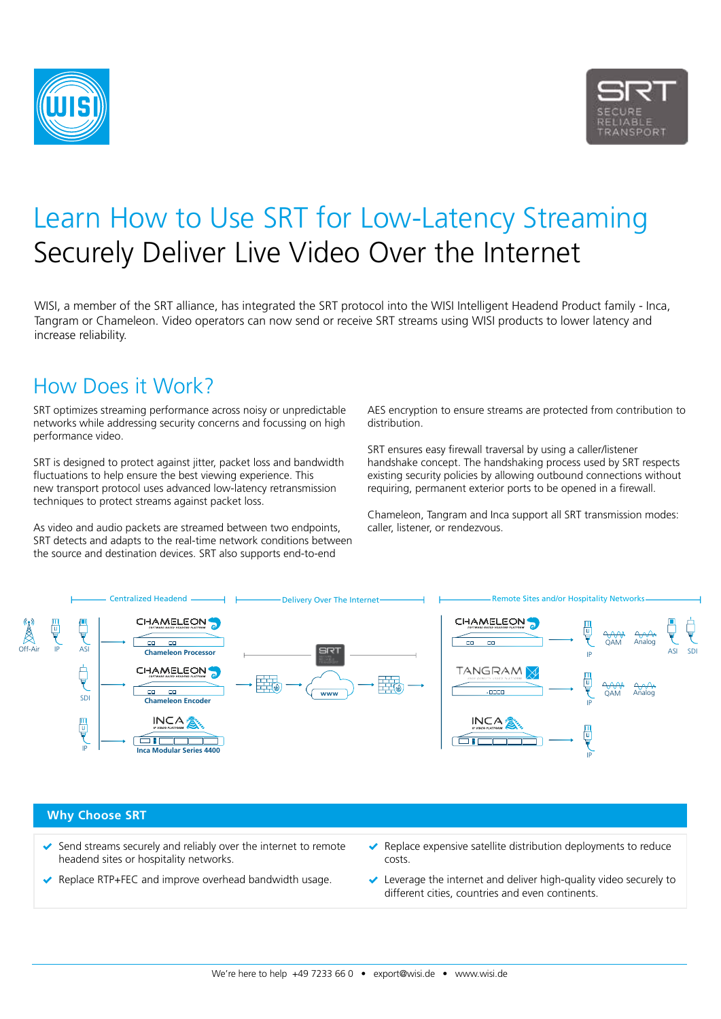



# Learn How to Use SRT for Low-Latency Streaming Securely Deliver Live Video Over the Internet

WISI, a member of the SRT alliance, has integrated the SRT protocol into the WISI Intelligent Headend Product family - Inca, Tangram or Chameleon. Video operators can now send or receive SRT streams using WISI products to lower latency and increase reliability.

### How Does it Work?

SRT optimizes streaming performance across noisy or unpredictable networks while addressing security concerns and focussing on high performance video.

SRT is designed to protect against jitter, packet loss and bandwidth fluctuations to help ensure the best viewing experience. This new transport protocol uses advanced low-latency retransmission techniques to protect streams against packet loss.

As video and audio packets are streamed between two endpoints, SRT detects and adapts to the real-time network conditions between the source and destination devices. SRT also supports end-to-end

AES encryption to ensure streams are protected from contribution to distribution.

SRT ensures easy firewall traversal by using a caller/listener handshake concept. The handshaking process used by SRT respects existing security policies by allowing outbound connections without requiring, permanent exterior ports to be opened in a firewall.

Chameleon, Tangram and Inca support all SRT transmission modes: caller, listener, or rendezvous.



#### **Why Choose SRT**

- $\blacktriangleright$  Send streams securely and reliably over the internet to remote headend sites or hospitality networks.
- ◆ Replace RTP+FEC and improve overhead bandwidth usage.
- $\blacktriangleright$  Replace expensive satellite distribution deployments to reduce costs.
- $\vee$  Leverage the internet and deliver high-quality video securely to different cities, countries and even continents.